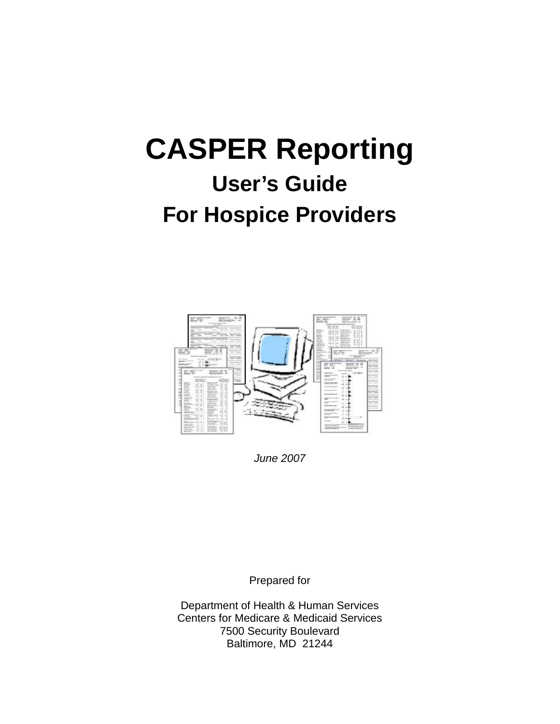# **CASPER Reporting**

## **User's Guide For Hospice Providers**



*June 2007*

Prepared for

Department of Health & Human Services Centers for Medicare & Medicaid Services 7500 Security Boulevard Baltimore, MD 21244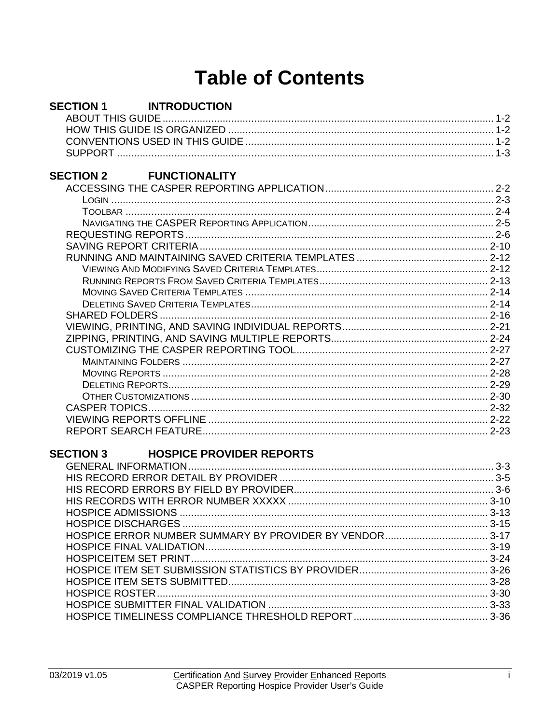### **Table of Contents**

| <b>SECTION 1</b> | <b>INTRODUCTION</b>             |  |
|------------------|---------------------------------|--|
|                  |                                 |  |
|                  |                                 |  |
|                  |                                 |  |
|                  |                                 |  |
|                  |                                 |  |
| <b>SECTION 2</b> | <b>FUNCTIONALITY</b>            |  |
|                  |                                 |  |
|                  |                                 |  |
|                  |                                 |  |
|                  |                                 |  |
|                  |                                 |  |
|                  |                                 |  |
|                  |                                 |  |
|                  |                                 |  |
|                  |                                 |  |
|                  |                                 |  |
|                  |                                 |  |
|                  |                                 |  |
|                  |                                 |  |
|                  |                                 |  |
|                  |                                 |  |
|                  |                                 |  |
|                  |                                 |  |
|                  |                                 |  |
|                  |                                 |  |
|                  |                                 |  |
|                  |                                 |  |
|                  |                                 |  |
| <b>SECTION 3</b> | <b>HOSPICE PROVIDER REPORTS</b> |  |
|                  |                                 |  |
|                  |                                 |  |
|                  |                                 |  |
|                  |                                 |  |
|                  |                                 |  |
|                  |                                 |  |
|                  |                                 |  |
|                  |                                 |  |
|                  |                                 |  |
|                  |                                 |  |
|                  |                                 |  |
|                  |                                 |  |
|                  |                                 |  |
|                  |                                 |  |